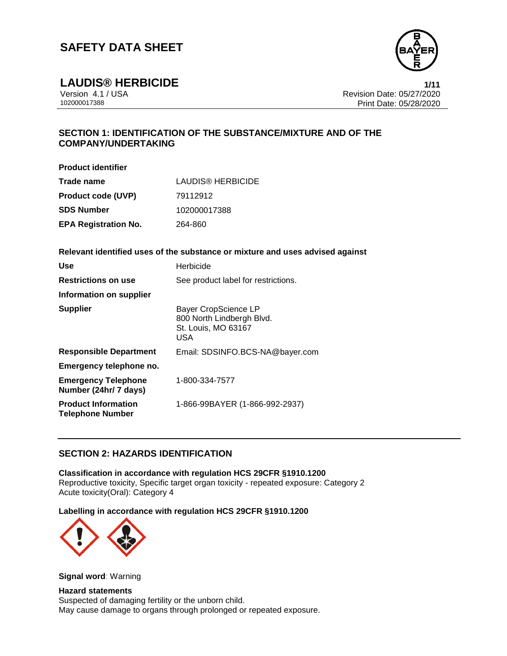

**LAUDIS® HERBICIDE 1/11**

Version 4.1 / USA Revision Date: 05/27/2020 Print Date: 05/28/2020

# **SECTION 1: IDENTIFICATION OF THE SUBSTANCE/MIXTURE AND OF THE COMPANY/UNDERTAKING**

**Product identifier**

| Trade name                  | LAUDIS® HERBICIDE |  |  |
|-----------------------------|-------------------|--|--|
| <b>Product code (UVP)</b>   | 79112912          |  |  |
| <b>SDS Number</b>           | 102000017388      |  |  |
| <b>EPA Registration No.</b> | 264-860           |  |  |

**Relevant identified uses of the substance or mixture and uses advised against**

| Use                                                   | Herbicide                                                                                     |
|-------------------------------------------------------|-----------------------------------------------------------------------------------------------|
| <b>Restrictions on use</b>                            | See product label for restrictions.                                                           |
| Information on supplier                               |                                                                                               |
| <b>Supplier</b>                                       | <b>Bayer CropScience LP</b><br>800 North Lindbergh Blvd.<br>St. Louis, MO 63167<br><b>USA</b> |
| <b>Responsible Department</b>                         | Email: SDSINFO.BCS-NA@bayer.com                                                               |
| Emergency telephone no.                               |                                                                                               |
| <b>Emergency Telephone</b><br>Number (24hr/ 7 days)   | 1-800-334-7577                                                                                |
| <b>Product Information</b><br><b>Telephone Number</b> | 1-866-99BAYER (1-866-992-2937)                                                                |

# **SECTION 2: HAZARDS IDENTIFICATION**

**Classification in accordance with regulation HCS 29CFR §1910.1200** Reproductive toxicity, Specific target organ toxicity - repeated exposure: Category 2 Acute toxicity(Oral): Category 4

**Labelling in accordance with regulation HCS 29CFR §1910.1200**



**Signal word**: Warning

**Hazard statements** Suspected of damaging fertility or the unborn child. May cause damage to organs through prolonged or repeated exposure.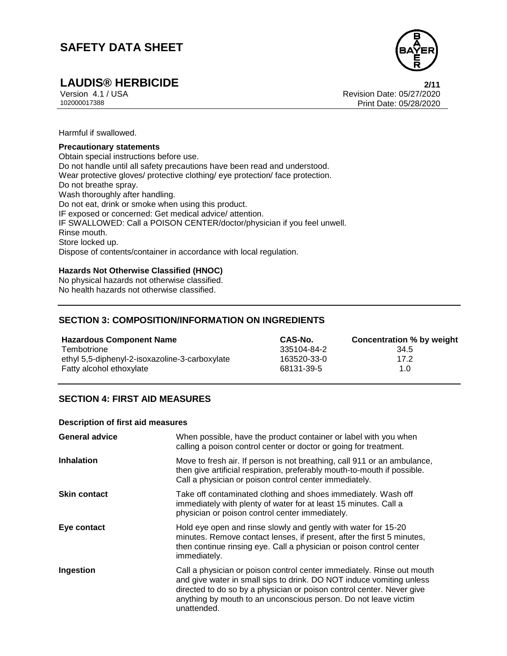

# **LAUDIS® HERBICIDE 2/11**

Version 4.1 / USA Revision Date: 05/27/2020 Print Date: 05/28/2020

Harmful if swallowed.

#### **Precautionary statements**

Obtain special instructions before use. Do not handle until all safety precautions have been read and understood. Wear protective gloves/ protective clothing/ eye protection/ face protection. Do not breathe spray. Wash thoroughly after handling. Do not eat, drink or smoke when using this product. IF exposed or concerned: Get medical advice/ attention. IF SWALLOWED: Call a POISON CENTER/doctor/physician if you feel unwell. Rinse mouth. Store locked up. Dispose of contents/container in accordance with local regulation.

### **Hazards Not Otherwise Classified (HNOC)**

No physical hazards not otherwise classified. No health hazards not otherwise classified.

## **SECTION 3: COMPOSITION/INFORMATION ON INGREDIENTS**

| <b>Hazardous Component Name</b>                | CAS-No.     | Concentration % by weight |
|------------------------------------------------|-------------|---------------------------|
| Tembotrione                                    | 335104-84-2 | 34.5                      |
| ethyl 5,5-diphenyl-2-isoxazoline-3-carboxylate | 163520-33-0 | 17.2                      |
| Fatty alcohol ethoxylate                       | 68131-39-5  | 1.0                       |

## **SECTION 4: FIRST AID MEASURES**

#### **Description of first aid measures**

| <b>General advice</b> | When possible, have the product container or label with you when<br>calling a poison control center or doctor or going for treatment.                                                                                                                                                                     |  |
|-----------------------|-----------------------------------------------------------------------------------------------------------------------------------------------------------------------------------------------------------------------------------------------------------------------------------------------------------|--|
| <b>Inhalation</b>     | Move to fresh air. If person is not breathing, call 911 or an ambulance,<br>then give artificial respiration, preferably mouth-to-mouth if possible.<br>Call a physician or poison control center immediately.                                                                                            |  |
| <b>Skin contact</b>   | Take off contaminated clothing and shoes immediately. Wash off<br>immediately with plenty of water for at least 15 minutes. Call a<br>physician or poison control center immediately.                                                                                                                     |  |
| Eye contact           | Hold eye open and rinse slowly and gently with water for 15-20<br>minutes. Remove contact lenses, if present, after the first 5 minutes,<br>then continue rinsing eye. Call a physician or poison control center<br>immediately.                                                                          |  |
| Ingestion             | Call a physician or poison control center immediately. Rinse out mouth<br>and give water in small sips to drink. DO NOT induce vomiting unless<br>directed to do so by a physician or poison control center. Never give<br>anything by mouth to an unconscious person. Do not leave victim<br>unattended. |  |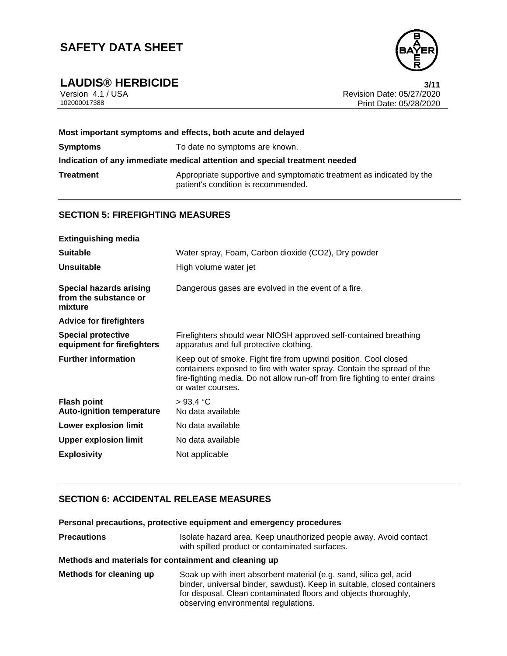

**LAUDIS® HERBICIDE 3/11** Version 4.1 / USA Revision Date: 05/27/2020<br>102000017388 Print Date: 05/27/2020 Print Date: 05/28/2020

| Most important symptoms and effects, both acute and delayed                |                                                                                                             |  |
|----------------------------------------------------------------------------|-------------------------------------------------------------------------------------------------------------|--|
| <b>Symptoms</b>                                                            | To date no symptoms are known.                                                                              |  |
| Indication of any immediate medical attention and special treatment needed |                                                                                                             |  |
| Treatment                                                                  | Appropriate supportive and symptomatic treatment as indicated by the<br>patient's condition is recommended. |  |

## **SECTION 5: FIREFIGHTING MEASURES**

| <b>Extinguishing media</b>                                         |                                                                                                                                                                                                                                                |
|--------------------------------------------------------------------|------------------------------------------------------------------------------------------------------------------------------------------------------------------------------------------------------------------------------------------------|
| <b>Suitable</b>                                                    | Water spray, Foam, Carbon dioxide (CO2), Dry powder                                                                                                                                                                                            |
| <b>Unsuitable</b>                                                  | High volume water jet                                                                                                                                                                                                                          |
| <b>Special hazards arising</b><br>from the substance or<br>mixture | Dangerous gases are evolved in the event of a fire.                                                                                                                                                                                            |
| <b>Advice for firefighters</b>                                     |                                                                                                                                                                                                                                                |
| <b>Special protective</b><br>equipment for firefighters            | Firefighters should wear NIOSH approved self-contained breathing<br>apparatus and full protective clothing.                                                                                                                                    |
| <b>Further information</b>                                         | Keep out of smoke. Fight fire from upwind position. Cool closed<br>containers exposed to fire with water spray. Contain the spread of the<br>fire-fighting media. Do not allow run-off from fire fighting to enter drains<br>or water courses. |
| <b>Flash point</b><br><b>Auto-ignition temperature</b>             | >93.4 °C<br>No data available                                                                                                                                                                                                                  |
| <b>Lower explosion limit</b>                                       | No data available                                                                                                                                                                                                                              |
| <b>Upper explosion limit</b>                                       | No data available                                                                                                                                                                                                                              |
| <b>Explosivity</b>                                                 | Not applicable                                                                                                                                                                                                                                 |

# **SECTION 6: ACCIDENTAL RELEASE MEASURES**

|  | Personal precautions, protective equipment and emergency procedures |  |
|--|---------------------------------------------------------------------|--|
|  |                                                                     |  |

| <b>Precautions</b> | Isolate hazard area. Keep unauthorized people away. Avoid contact |
|--------------------|-------------------------------------------------------------------|
|                    | with spilled product or contaminated surfaces.                    |

## **Methods and materials for containment and cleaning up**

**Methods for cleaning up** Soak up with inert absorbent material (e.g. sand, silica gel, acid binder, universal binder, sawdust). Keep in suitable, closed containers for disposal. Clean contaminated floors and objects thoroughly, observing environmental regulations.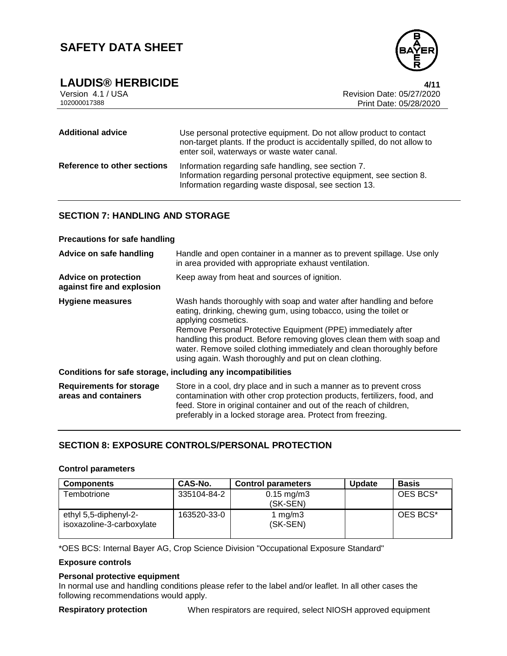

**LAUDIS® HERBICIDE 4/11**

| Version 4.1 / USA |  |
|-------------------|--|
| 102000017388      |  |

Revision Date: 05/27/2020 Print Date: 05/28/2020

| <b>Additional advice</b>    | Use personal protective equipment. Do not allow product to contact<br>non-target plants. If the product is accidentally spilled, do not allow to<br>enter soil, waterways or waste water canal. |  |  |
|-----------------------------|-------------------------------------------------------------------------------------------------------------------------------------------------------------------------------------------------|--|--|
| Reference to other sections | Information regarding safe handling, see section 7.<br>Information regarding personal protective equipment, see section 8.<br>Information regarding waste disposal, see section 13.             |  |  |

## **SECTION 7: HANDLING AND STORAGE**

#### **Precautions for safe handling**

| Advice on safe handling                                   | Handle and open container in a manner as to prevent spillage. Use only<br>in area provided with appropriate exhaust ventilation.                                                                                                                                                                                                                                                                                                              |  |
|-----------------------------------------------------------|-----------------------------------------------------------------------------------------------------------------------------------------------------------------------------------------------------------------------------------------------------------------------------------------------------------------------------------------------------------------------------------------------------------------------------------------------|--|
| <b>Advice on protection</b><br>against fire and explosion | Keep away from heat and sources of ignition.                                                                                                                                                                                                                                                                                                                                                                                                  |  |
| Hygiene measures                                          | Wash hands thoroughly with soap and water after handling and before<br>eating, drinking, chewing gum, using tobacco, using the toilet or<br>applying cosmetics.<br>Remove Personal Protective Equipment (PPE) immediately after<br>handling this product. Before removing gloves clean them with soap and<br>water. Remove soiled clothing immediately and clean thoroughly before<br>using again. Wash thoroughly and put on clean clothing. |  |
|                                                           | Conditions for safe storage, including any incompatibilities                                                                                                                                                                                                                                                                                                                                                                                  |  |
| <b>Requirements for storage</b><br>areas and containers   | Store in a cool, dry place and in such a manner as to prevent cross<br>contamination with other crop protection products, fertilizers, food, and<br>feed. Store in original container and out of the reach of children,<br>preferably in a locked storage area. Protect from freezing.                                                                                                                                                        |  |

## **SECTION 8: EXPOSURE CONTROLS/PERSONAL PROTECTION**

## **Control parameters**

| <b>Components</b>                                  | CAS-No.     | <b>Control parameters</b>         | <b>Update</b> | <b>Basis</b> |
|----------------------------------------------------|-------------|-----------------------------------|---------------|--------------|
| Tembotrione                                        | 335104-84-2 | $0.15 \text{ mg/m}$ 3<br>(SK-SEN) |               | OES BCS*     |
| ethyl 5,5-diphenyl-2-<br>isoxazoline-3-carboxylate | 163520-33-0 | 1 mg/m $3$<br>(SK-SEN)            |               | OES BCS*     |

\*OES BCS: Internal Bayer AG, Crop Science Division "Occupational Exposure Standard"

### **Exposure controls**

#### **Personal protective equipment**

In normal use and handling conditions please refer to the label and/or leaflet. In all other cases the following recommendations would apply.

**Respiratory protection** When respirators are required, select NIOSH approved equipment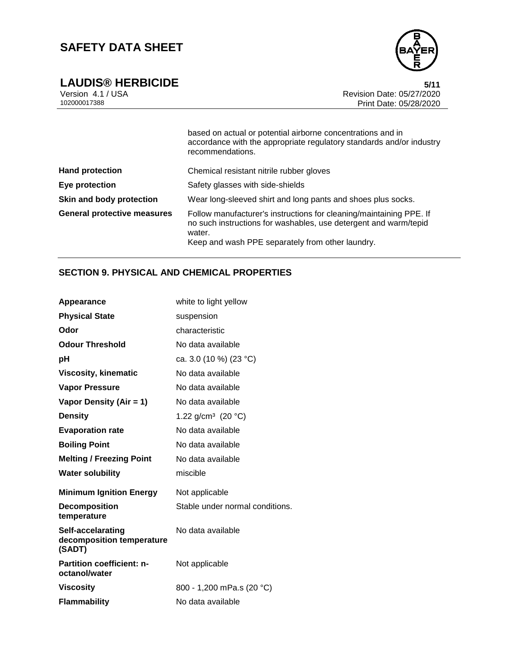

**LAUDIS® HERBICIDE** 5/11<br>Version 4.1 / USA 6/27/2020 Version 4.1 / USA **Revision Date: 05/27/2020**<br>102000017388 Print Date: 05/27/2020 Print Date: 05/28/2020

|                                    | based on actual or potential airborne concentrations and in<br>accordance with the appropriate regulatory standards and/or industry<br>recommendations.                                               |
|------------------------------------|-------------------------------------------------------------------------------------------------------------------------------------------------------------------------------------------------------|
| <b>Hand protection</b>             | Chemical resistant nitrile rubber gloves                                                                                                                                                              |
| Eye protection                     | Safety glasses with side-shields                                                                                                                                                                      |
| Skin and body protection           | Wear long-sleeved shirt and long pants and shoes plus socks.                                                                                                                                          |
| <b>General protective measures</b> | Follow manufacturer's instructions for cleaning/maintaining PPE. If<br>no such instructions for washables, use detergent and warm/tepid<br>water.<br>Keep and wash PPE separately from other laundry. |

# **SECTION 9. PHYSICAL AND CHEMICAL PROPERTIES**

| Appearance                                               | white to light yellow           |
|----------------------------------------------------------|---------------------------------|
| <b>Physical State</b>                                    | suspension                      |
| Odor                                                     | characteristic                  |
| <b>Odour Threshold</b>                                   | No data available               |
| рH                                                       | ca. 3.0 (10 %) (23 °C)          |
| <b>Viscosity, kinematic</b>                              | No data available               |
| <b>Vapor Pressure</b>                                    | No data available               |
| Vapor Density (Air = 1)                                  | No data available               |
| <b>Density</b>                                           | 1.22 g/cm <sup>3</sup> (20 °C)  |
| <b>Evaporation rate</b>                                  | No data available               |
| <b>Boiling Point</b>                                     | No data available               |
| <b>Melting / Freezing Point</b>                          | No data available               |
| <b>Water solubility</b>                                  | miscible                        |
| <b>Minimum Ignition Energy</b>                           | Not applicable                  |
| <b>Decomposition</b><br>temperature                      | Stable under normal conditions. |
| Self-accelarating<br>decomposition temperature<br>(SADT) | No data available               |
| Partition coefficient: n-<br>octanol/water               | Not applicable                  |
| <b>Viscosity</b>                                         | 800 - 1,200 mPa.s (20 °C)       |
| <b>Flammability</b>                                      | No data available               |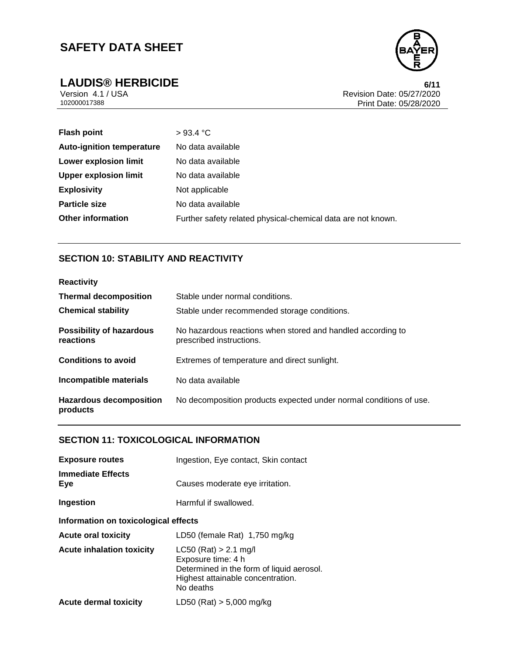



**LAUDIS® HERBICIDE**<br>Version 4.1 / USA **6/11**<br>Revision Date: 05/27/2020 Version 4.1 / USA Revision Date: 05/27/2020<br>102000017388 Print Date: 05/27/2020 Print Date: 05/28/2020

| <b>Flash point</b>               | >93.4 °C                                                     |
|----------------------------------|--------------------------------------------------------------|
| <b>Auto-ignition temperature</b> | No data available                                            |
| Lower explosion limit            | No data available                                            |
| <b>Upper explosion limit</b>     | No data available                                            |
| <b>Explosivity</b>               | Not applicable                                               |
| <b>Particle size</b>             | No data available                                            |
| <b>Other information</b>         | Further safety related physical-chemical data are not known. |

# **SECTION 10: STABILITY AND REACTIVITY**

| <b>Reactivity</b>                            |                                                                                         |
|----------------------------------------------|-----------------------------------------------------------------------------------------|
| <b>Thermal decomposition</b>                 | Stable under normal conditions.                                                         |
| <b>Chemical stability</b>                    | Stable under recommended storage conditions.                                            |
| <b>Possibility of hazardous</b><br>reactions | No hazardous reactions when stored and handled according to<br>prescribed instructions. |
| <b>Conditions to avoid</b>                   | Extremes of temperature and direct sunlight.                                            |
| Incompatible materials                       | No data available                                                                       |
| <b>Hazardous decomposition</b><br>products   | No decomposition products expected under normal conditions of use.                      |

## **SECTION 11: TOXICOLOGICAL INFORMATION**

| <b>Exposure routes</b>               | Ingestion, Eye contact, Skin contact                                                                                                         |  |
|--------------------------------------|----------------------------------------------------------------------------------------------------------------------------------------------|--|
| <b>Immediate Effects</b><br>Eye      | Causes moderate eye irritation.                                                                                                              |  |
| Ingestion                            | Harmful if swallowed.                                                                                                                        |  |
| Information on toxicological effects |                                                                                                                                              |  |
| <b>Acute oral toxicity</b>           | LD50 (female Rat) 1,750 mg/kg                                                                                                                |  |
| <b>Acute inhalation toxicity</b>     | $LC50$ (Rat) > 2.1 mg/l<br>Exposure time: 4 h<br>Determined in the form of liquid aerosol.<br>Highest attainable concentration.<br>No deaths |  |
| <b>Acute dermal toxicity</b>         | LD50 (Rat) $> 5,000$ mg/kg                                                                                                                   |  |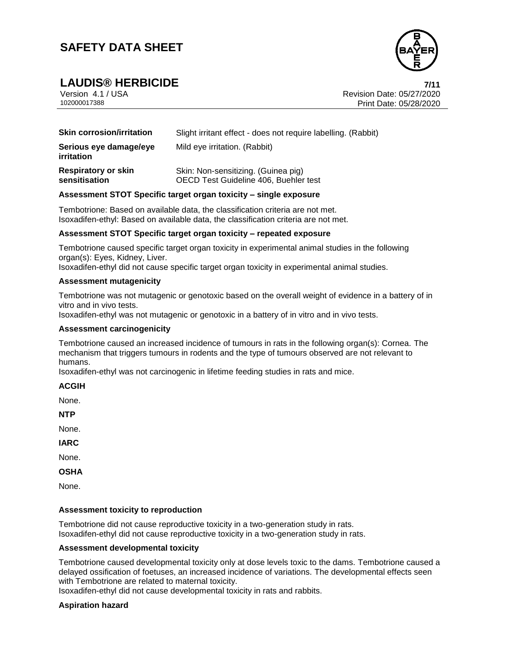

**LAUDIS® HERBICIDE 7/11** Version 4.1 / USA Revision Date: 05/27/2020 Print Date: 05/28/2020

| <b>Skin corrosion/irritation</b>            | Slight irritant effect - does not require labelling. (Rabbit)                |
|---------------------------------------------|------------------------------------------------------------------------------|
| Serious eye damage/eye<br>irritation        | Mild eye irritation. (Rabbit)                                                |
| <b>Respiratory or skin</b><br>sensitisation | Skin: Non-sensitizing. (Guinea pig)<br>OECD Test Guideline 406, Buehler test |

#### **Assessment STOT Specific target organ toxicity – single exposure**

Tembotrione: Based on available data, the classification criteria are not met. Isoxadifen-ethyl: Based on available data, the classification criteria are not met.

#### **Assessment STOT Specific target organ toxicity – repeated exposure**

Tembotrione caused specific target organ toxicity in experimental animal studies in the following organ(s): Eyes, Kidney, Liver.

Isoxadifen-ethyl did not cause specific target organ toxicity in experimental animal studies.

#### **Assessment mutagenicity**

Tembotrione was not mutagenic or genotoxic based on the overall weight of evidence in a battery of in vitro and in vivo tests.

Isoxadifen-ethyl was not mutagenic or genotoxic in a battery of in vitro and in vivo tests.

#### **Assessment carcinogenicity**

Tembotrione caused an increased incidence of tumours in rats in the following organ(s): Cornea. The mechanism that triggers tumours in rodents and the type of tumours observed are not relevant to humans.

Isoxadifen-ethyl was not carcinogenic in lifetime feeding studies in rats and mice.

#### **ACGIH**

None.

**NTP**

None.

**IARC**

None.

**OSHA**

None.

#### **Assessment toxicity to reproduction**

Tembotrione did not cause reproductive toxicity in a two-generation study in rats. Isoxadifen-ethyl did not cause reproductive toxicity in a two-generation study in rats.

#### **Assessment developmental toxicity**

Tembotrione caused developmental toxicity only at dose levels toxic to the dams. Tembotrione caused a delayed ossification of foetuses, an increased incidence of variations. The developmental effects seen with Tembotrione are related to maternal toxicity.

Isoxadifen-ethyl did not cause developmental toxicity in rats and rabbits.

### **Aspiration hazard**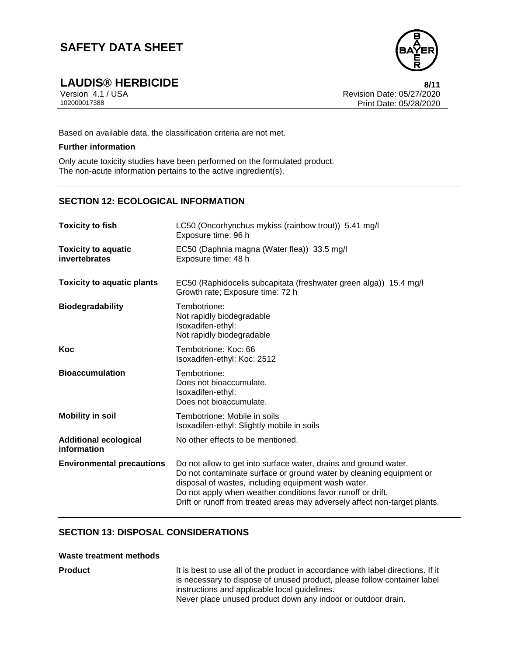

**LAUDIS® HERBICIDE 8/11** Version 4.1 / USA Revision Date: 05/27/2020 Print Date: 05/28/2020

Based on available data, the classification criteria are not met.

#### **Further information**

Only acute toxicity studies have been performed on the formulated product. The non-acute information pertains to the active ingredient(s).

# **SECTION 12: ECOLOGICAL INFORMATION**

| <b>Toxicity to fish</b>                     | LC50 (Oncorhynchus mykiss (rainbow trout)) 5.41 mg/l<br>Exposure time: 96 h                                                                                                                                                                                                                                                                 |
|---------------------------------------------|---------------------------------------------------------------------------------------------------------------------------------------------------------------------------------------------------------------------------------------------------------------------------------------------------------------------------------------------|
| <b>Toxicity to aquatic</b><br>invertebrates | EC50 (Daphnia magna (Water flea)) 33.5 mg/l<br>Exposure time: 48 h                                                                                                                                                                                                                                                                          |
| <b>Toxicity to aquatic plants</b>           | EC50 (Raphidocelis subcapitata (freshwater green alga)) 15.4 mg/l<br>Growth rate; Exposure time: 72 h                                                                                                                                                                                                                                       |
| <b>Biodegradability</b>                     | Tembotrione:<br>Not rapidly biodegradable<br>Isoxadifen-ethyl:<br>Not rapidly biodegradable                                                                                                                                                                                                                                                 |
| Koc                                         | Tembotrione: Koc: 66<br>Isoxadifen-ethyl: Koc: 2512                                                                                                                                                                                                                                                                                         |
| <b>Bioaccumulation</b>                      | Tembotrione:<br>Does not bioaccumulate.<br>Isoxadifen-ethyl:<br>Does not bioaccumulate.                                                                                                                                                                                                                                                     |
| <b>Mobility in soil</b>                     | Tembotrione: Mobile in soils<br>Isoxadifen-ethyl: Slightly mobile in soils                                                                                                                                                                                                                                                                  |
| <b>Additional ecological</b><br>information | No other effects to be mentioned.                                                                                                                                                                                                                                                                                                           |
| <b>Environmental precautions</b>            | Do not allow to get into surface water, drains and ground water.<br>Do not contaminate surface or ground water by cleaning equipment or<br>disposal of wastes, including equipment wash water.<br>Do not apply when weather conditions favor runoff or drift.<br>Drift or runoff from treated areas may adversely affect non-target plants. |

# **SECTION 13: DISPOSAL CONSIDERATIONS**

### **Waste treatment methods**

**Product** It is best to use all of the product in accordance with label directions. If it is necessary to dispose of unused product, please follow container label instructions and applicable local guidelines. Never place unused product down any indoor or outdoor drain.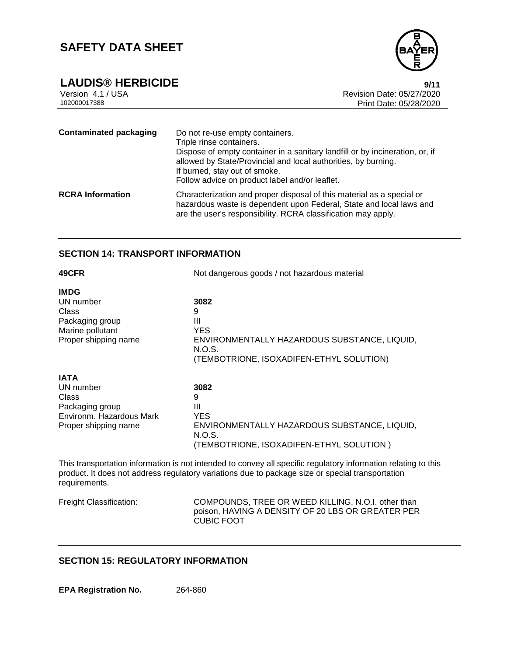



Version 4.1 / USA Revision Date: 05/27/2020 Print Date: 05/28/2020

| <b>Contaminated packaging</b> | Do not re-use empty containers.<br>Triple rinse containers.<br>Dispose of empty container in a sanitary landfill or by incineration, or, if<br>allowed by State/Provincial and local authorities, by burning.<br>If burned, stay out of smoke.<br>Follow advice on product label and/or leaflet. |
|-------------------------------|--------------------------------------------------------------------------------------------------------------------------------------------------------------------------------------------------------------------------------------------------------------------------------------------------|
| <b>RCRA Information</b>       | Characterization and proper disposal of this material as a special or<br>hazardous waste is dependent upon Federal, State and local laws and<br>are the user's responsibility. RCRA classification may apply.                                                                                    |

## **SECTION 14: TRANSPORT INFORMATION**

| 49CFR                                                                                                    | Not dangerous goods / not hazardous material                                                                                                                                   |
|----------------------------------------------------------------------------------------------------------|--------------------------------------------------------------------------------------------------------------------------------------------------------------------------------|
| <b>IMDG</b><br>UN number<br>Class<br>Packaging group<br>Marine pollutant<br>Proper shipping name         | 3082<br>9<br>Ш<br><b>YES</b><br>ENVIRONMENTALLY HAZARDOUS SUBSTANCE, LIQUID,<br>N.O.S.                                                                                         |
| <b>IATA</b><br>UN number<br>Class<br>Packaging group<br>Environm. Hazardous Mark<br>Proper shipping name | (TEMBOTRIONE, ISOXADIFEN-ETHYL SOLUTION)<br>3082<br>9<br>Ш<br><b>YES</b><br>ENVIRONMENTALLY HAZARDOUS SUBSTANCE, LIQUID,<br>N.O.S.<br>(TEMBOTRIONE, ISOXADIFEN-ETHYL SOLUTION) |

This transportation information is not intended to convey all specific regulatory information relating to this product. It does not address regulatory variations due to package size or special transportation requirements.

Freight Classification: COMPOUNDS, TREE OR WEED KILLING, N.O.I. other than poison, HAVING A DENSITY OF 20 LBS OR GREATER PER CUBIC FOOT

# **SECTION 15: REGULATORY INFORMATION**

**EPA Registration No.** 264-860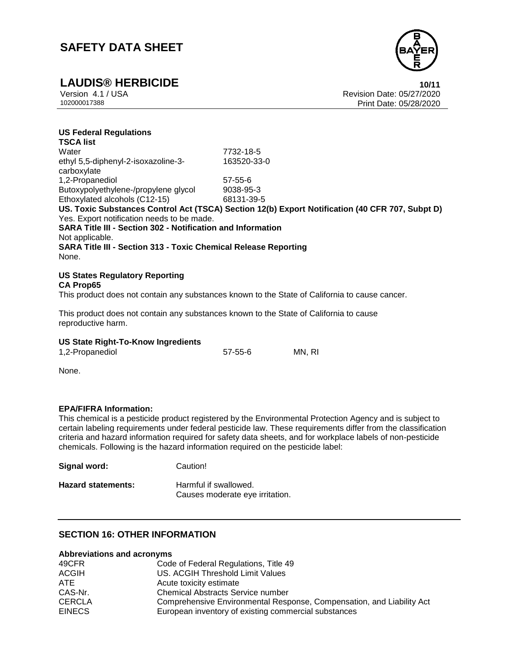

**US Federal Regulations**

**LAUDIS® HERBICIDE**<br>Version 4.1 / USA **10/11**<br>Revision Date: 05/27/2020 Version 4.1 / USA Revision Date: 05/27/2020 Print Date: 05/28/2020

| 7732-18-5                                                                                       |
|-------------------------------------------------------------------------------------------------|
| 163520-33-0                                                                                     |
| $57 - 55 - 6$                                                                                   |
| 9038-95-3                                                                                       |
| 68131-39-5                                                                                      |
| US. Toxic Substances Control Act (TSCA) Section 12(b) Export Notification (40 CFR 707, Subpt D) |
| Yes. Export notification needs to be made.                                                      |
| <b>SARA Title III - Section 302 - Notification and Information</b>                              |
|                                                                                                 |
| SARA Title III - Section 313 - Toxic Chemical Release Reporting                                 |
|                                                                                                 |
|                                                                                                 |

#### **US States Regulatory Reporting CA Prop65**

This product does not contain any substances known to the State of California to cause cancer.

This product does not contain any substances known to the State of California to cause reproductive harm.

### **US State Right-To-Know Ingredients**

1,2-Propanediol 57-55-6 MN, RI

None.

#### **EPA/FIFRA Information:**

This chemical is a pesticide product registered by the Environmental Protection Agency and is subject to certain labeling requirements under federal pesticide law. These requirements differ from the classification criteria and hazard information required for safety data sheets, and for workplace labels of non-pesticide chemicals. Following is the hazard information required on the pesticide label:

| Signal word:              | Caution!                                                 |
|---------------------------|----------------------------------------------------------|
| <b>Hazard statements:</b> | Harmful if swallowed.<br>Causes moderate eye irritation. |

# **SECTION 16: OTHER INFORMATION**

#### **Abbreviations and acronyms**

| 49CFR         | Code of Federal Regulations, Title 49                                 |
|---------------|-----------------------------------------------------------------------|
| <b>ACGIH</b>  | US. ACGIH Threshold Limit Values                                      |
| ATE.          | Acute toxicity estimate                                               |
| CAS-Nr.       | <b>Chemical Abstracts Service number</b>                              |
| <b>CERCLA</b> | Comprehensive Environmental Response, Compensation, and Liability Act |
| <b>EINECS</b> | European inventory of existing commercial substances                  |